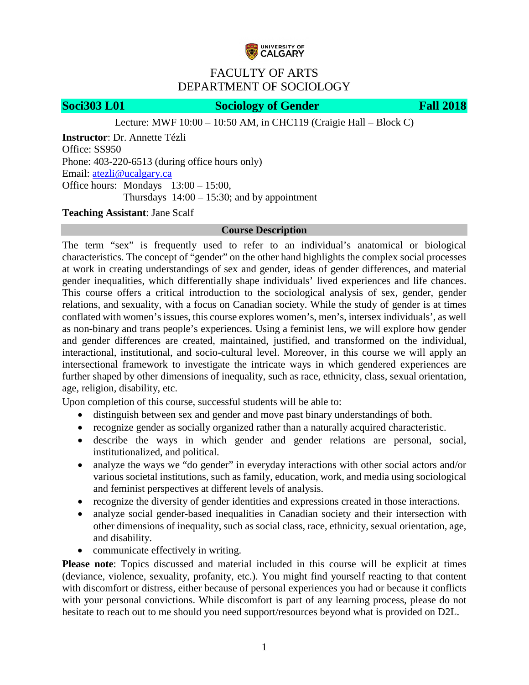

# FACULTY OF ARTS DEPARTMENT OF SOCIOLOGY

# **Soci303 L01** Sociology of Gender Fall 2018

Lecture: MWF 10:00 – 10:50 AM, in CHC119 (Craigie Hall – Block C)

**Instructor**: Dr. Annette Tézli Office: SS950 Phone: 403-220-6513 (during office hours only) Email: [atezli@ucalgary.ca](mailto:atezli@ucalgary.ca) Office hours: Mondays 13:00 – 15:00, Thursdays  $14:00 - 15:30$ ; and by appointment

# **Teaching Assistant**: Jane Scalf

## **Course Description**

The term "sex" is frequently used to refer to an individual's anatomical or biological characteristics. The concept of "gender" on the other hand highlights the complex social processes at work in creating understandings of sex and gender, ideas of gender differences, and material gender inequalities, which differentially shape individuals' lived experiences and life chances. This course offers a critical introduction to the sociological analysis of sex, gender, gender relations, and sexuality, with a focus on Canadian society. While the study of gender is at times conflated with women's issues, this course explores women's, men's, intersex individuals', as well as non-binary and trans people's experiences. Using a feminist lens, we will explore how gender and gender differences are created, maintained, justified, and transformed on the individual, interactional, institutional, and socio-cultural level. Moreover, in this course we will apply an intersectional framework to investigate the intricate ways in which gendered experiences are further shaped by other dimensions of inequality, such as race, ethnicity, class, sexual orientation, age, religion, disability, etc.

Upon completion of this course, successful students will be able to:

- distinguish between sex and gender and move past binary understandings of both.
- recognize gender as socially organized rather than a naturally acquired characteristic.
- describe the ways in which gender and gender relations are personal, social, institutionalized, and political.
- analyze the ways we "do gender" in everyday interactions with other social actors and/or various societal institutions, such as family, education, work, and media using sociological and feminist perspectives at different levels of analysis.
- recognize the diversity of gender identities and expressions created in those interactions.
- analyze social gender-based inequalities in Canadian society and their intersection with other dimensions of inequality, such as social class, race, ethnicity, sexual orientation, age, and disability.
- communicate effectively in writing.

**Please note**: Topics discussed and material included in this course will be explicit at times (deviance, violence, sexuality, profanity, etc.). You might find yourself reacting to that content with discomfort or distress, either because of personal experiences you had or because it conflicts with your personal convictions. While discomfort is part of any learning process, please do not hesitate to reach out to me should you need support/resources beyond what is provided on D2L.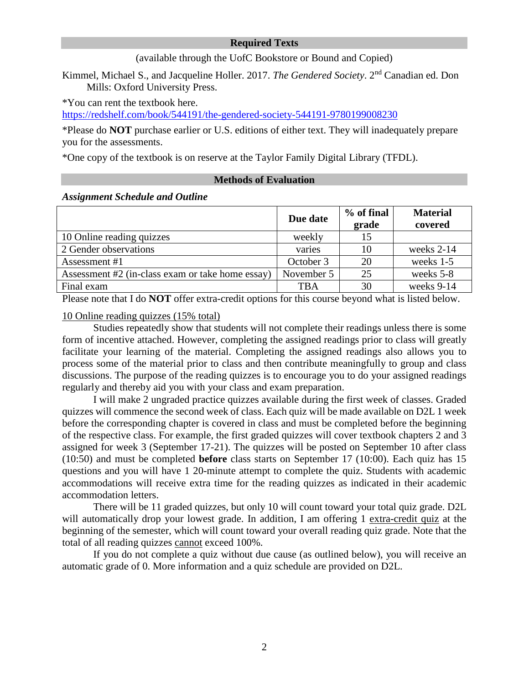### **Required Texts**

(available through the UofC Bookstore or Bound and Copied)

Kimmel, Michael S., and Jacqueline Holler. 2017. *The Gendered Society*. 2nd Canadian ed. Don Mills: Oxford University Press.

\*You can rent the textbook here.

<https://redshelf.com/book/544191/the-gendered-society-544191-9780199008230>

\*Please do **NOT** purchase earlier or U.S. editions of either text. They will inadequately prepare you for the assessments.

\*One copy of the textbook is on reserve at the Taylor Family Digital Library (TFDL).

### **Methods of Evaluation**

### *Assignment Schedule and Outline*

|                                                  | Due date   | % of final<br>grade | <b>Material</b><br>covered |
|--------------------------------------------------|------------|---------------------|----------------------------|
| 10 Online reading quizzes                        | weekly     | 15                  |                            |
| 2 Gender observations                            | varies     | 10                  | weeks $2-14$               |
| Assessment #1                                    | October 3  | 20                  | weeks $1-5$                |
| Assessment #2 (in-class exam or take home essay) | November 5 | 25                  | weeks 5-8                  |
| Final exam                                       | <b>TBA</b> | 30                  | weeks 9-14                 |

Please note that I do **NOT** offer extra-credit options for this course beyond what is listed below.

## 10 Online reading quizzes (15% total)

Studies repeatedly show that students will not complete their readings unless there is some form of incentive attached. However, completing the assigned readings prior to class will greatly facilitate your learning of the material. Completing the assigned readings also allows you to process some of the material prior to class and then contribute meaningfully to group and class discussions. The purpose of the reading quizzes is to encourage you to do your assigned readings regularly and thereby aid you with your class and exam preparation.

I will make 2 ungraded practice quizzes available during the first week of classes. Graded quizzes will commence the second week of class. Each quiz will be made available on D2L 1 week before the corresponding chapter is covered in class and must be completed before the beginning of the respective class. For example, the first graded quizzes will cover textbook chapters 2 and 3 assigned for week 3 (September 17-21). The quizzes will be posted on September 10 after class (10:50) and must be completed **before** class starts on September 17 (10:00). Each quiz has 15 questions and you will have 1 20-minute attempt to complete the quiz. Students with academic accommodations will receive extra time for the reading quizzes as indicated in their academic accommodation letters.

There will be 11 graded quizzes, but only 10 will count toward your total quiz grade. D2L will automatically drop your lowest grade. In addition, I am offering 1 extra-credit quiz at the beginning of the semester, which will count toward your overall reading quiz grade. Note that the total of all reading quizzes cannot exceed 100%.

If you do not complete a quiz without due cause (as outlined below), you will receive an automatic grade of 0. More information and a quiz schedule are provided on D2L.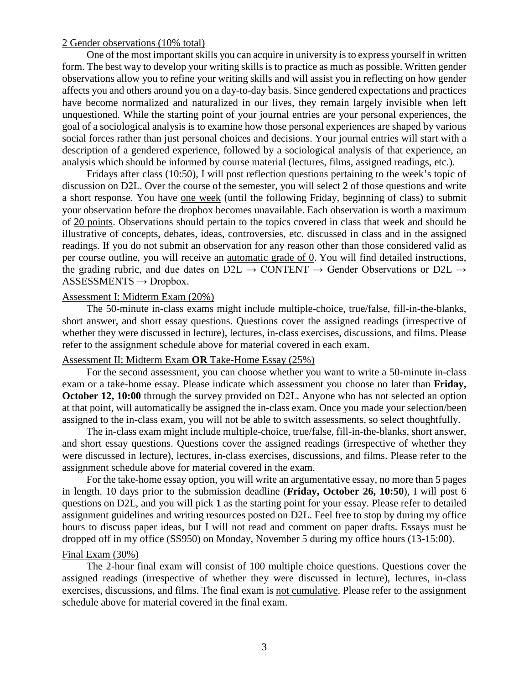### 2 Gender observations (10% total)

One of the most important skills you can acquire in university is to express yourself in written form. The best way to develop your writing skills is to practice as much as possible. Written gender observations allow you to refine your writing skills and will assist you in reflecting on how gender affects you and others around you on a day-to-day basis. Since gendered expectations and practices have become normalized and naturalized in our lives, they remain largely invisible when left unquestioned. While the starting point of your journal entries are your personal experiences, the goal of a sociological analysis is to examine how those personal experiences are shaped by various social forces rather than just personal choices and decisions. Your journal entries will start with a description of a gendered experience, followed by a sociological analysis of that experience, an analysis which should be informed by course material (lectures, films, assigned readings, etc.).

Fridays after class (10:50), I will post reflection questions pertaining to the week's topic of discussion on D2L. Over the course of the semester, you will select 2 of those questions and write a short response. You have one week (until the following Friday, beginning of class) to submit your observation before the dropbox becomes unavailable. Each observation is worth a maximum of 20 points. Observations should pertain to the topics covered in class that week and should be illustrative of concepts, debates, ideas, controversies, etc. discussed in class and in the assigned readings. If you do not submit an observation for any reason other than those considered valid as per course outline, you will receive an automatic grade of 0. You will find detailed instructions, the grading rubric, and due dates on D2L  $\rightarrow$  CONTENT  $\rightarrow$  Gender Observations or D2L  $\rightarrow$  $ASSESSMENTS \rightarrow Dropbox.$ 

#### Assessment I: Midterm Exam (20%)

The 50-minute in-class exams might include multiple-choice, true/false, fill-in-the-blanks, short answer, and short essay questions. Questions cover the assigned readings (irrespective of whether they were discussed in lecture), lectures, in-class exercises, discussions, and films. Please refer to the assignment schedule above for material covered in each exam.

#### Assessment II: Midterm Exam **OR** Take-Home Essay (25%)

For the second assessment, you can choose whether you want to write a 50-minute in-class exam or a take-home essay. Please indicate which assessment you choose no later than **Friday, October 12, 10:00** through the survey provided on D2L. Anyone who has not selected an option at that point, will automatically be assigned the in-class exam. Once you made your selection/been assigned to the in-class exam, you will not be able to switch assessments, so select thoughtfully.

The in-class exam might include multiple-choice, true/false, fill-in-the-blanks, short answer, and short essay questions. Questions cover the assigned readings (irrespective of whether they were discussed in lecture), lectures, in-class exercises, discussions, and films. Please refer to the assignment schedule above for material covered in the exam.

For the take-home essay option, you will write an argumentative essay, no more than 5 pages in length. 10 days prior to the submission deadline (**Friday, October 26, 10:50**), I will post 6 questions on D2L, and you will pick **1** as the starting point for your essay. Please refer to detailed assignment guidelines and writing resources posted on D2L. Feel free to stop by during my office hours to discuss paper ideas, but I will not read and comment on paper drafts. Essays must be dropped off in my office (SS950) on Monday, November 5 during my office hours (13-15:00).

### Final Exam (30%)

The 2-hour final exam will consist of 100 multiple choice questions. Questions cover the assigned readings (irrespective of whether they were discussed in lecture), lectures, in-class exercises, discussions, and films. The final exam is not cumulative. Please refer to the assignment schedule above for material covered in the final exam.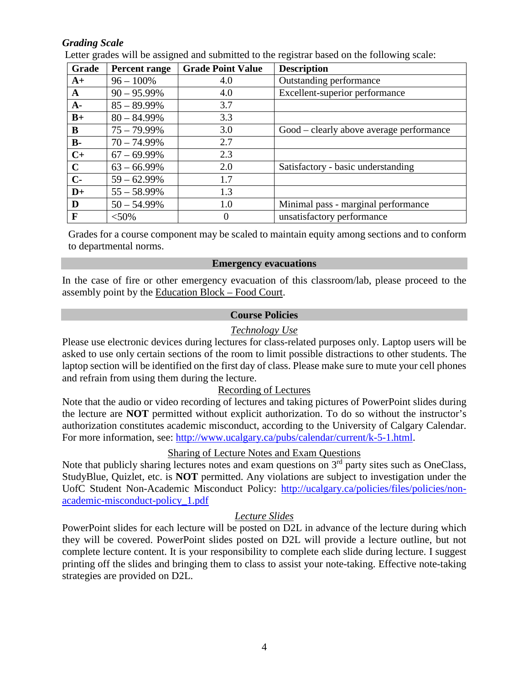# *Grading Scale*

| Grade        | <b>Percent range</b> | <b>Grade Point Value</b> | <b>Description</b>                       |
|--------------|----------------------|--------------------------|------------------------------------------|
| $A+$         | $96 - 100\%$         | 4.0                      | Outstanding performance                  |
| $\mathbf{A}$ | $90 - 95.99\%$       | 4.0                      | Excellent-superior performance           |
| $A -$        | $85 - 89.99\%$       | 3.7                      |                                          |
| $B+$         | $80 - 84.99\%$       | 3.3                      |                                          |
| B            | $75 - 79.99\%$       | 3.0                      | Good – clearly above average performance |
| <b>B-</b>    | $70 - 74.99\%$       | 2.7                      |                                          |
| $C+$         | $67 - 69.99\%$       | 2.3                      |                                          |
| $\mathbf C$  | $63 - 66.99\%$       | 2.0                      | Satisfactory - basic understanding       |
| $C-$         | $59 - 62.99\%$       | 1.7                      |                                          |
| $D+$         | $55 - 58.99\%$       | 1.3                      |                                          |
| D            | $50 - 54.99\%$       | 1.0                      | Minimal pass - marginal performance      |
| F            | $<$ 50%              | $\theta$                 | unsatisfactory performance               |

Letter grades will be assigned and submitted to the registrar based on the following scale:

Grades for a course component may be scaled to maintain equity among sections and to conform to departmental norms.

## **Emergency evacuations**

In the case of fire or other emergency evacuation of this classroom/lab, please proceed to the assembly point by the Education Block – Food Court.

# **Course Policies**

# *Technology Use*

Please use electronic devices during lectures for class-related purposes only. Laptop users will be asked to use only certain sections of the room to limit possible distractions to other students. The laptop section will be identified on the first day of class. Please make sure to mute your cell phones and refrain from using them during the lecture.

# Recording of Lectures

Note that the audio or video recording of lectures and taking pictures of PowerPoint slides during the lecture are **NOT** permitted without explicit authorization. To do so without the instructor's authorization constitutes academic misconduct, according to the University of Calgary Calendar. For more information, see: [http://www.ucalgary.ca/pubs/calendar/current/k-5-1.html.](http://www.ucalgary.ca/pubs/calendar/current/k-5-1.html)

# Sharing of Lecture Notes and Exam Questions

Note that publicly sharing lectures notes and exam questions on 3<sup>rd</sup> party sites such as OneClass, StudyBlue, Quizlet, etc. is **NOT** permitted. Any violations are subject to investigation under the UofC Student Non-Academic Misconduct Policy: [http://ucalgary.ca/policies/files/policies/non](http://ucalgary.ca/policies/files/policies/non-academic-misconduct-policy_1.pdf)[academic-misconduct-policy\\_1.pdf](http://ucalgary.ca/policies/files/policies/non-academic-misconduct-policy_1.pdf)

# *Lecture Slides*

PowerPoint slides for each lecture will be posted on D2L in advance of the lecture during which they will be covered. PowerPoint slides posted on D2L will provide a lecture outline, but not complete lecture content. It is your responsibility to complete each slide during lecture. I suggest printing off the slides and bringing them to class to assist your note-taking. Effective note-taking strategies are provided on D2L.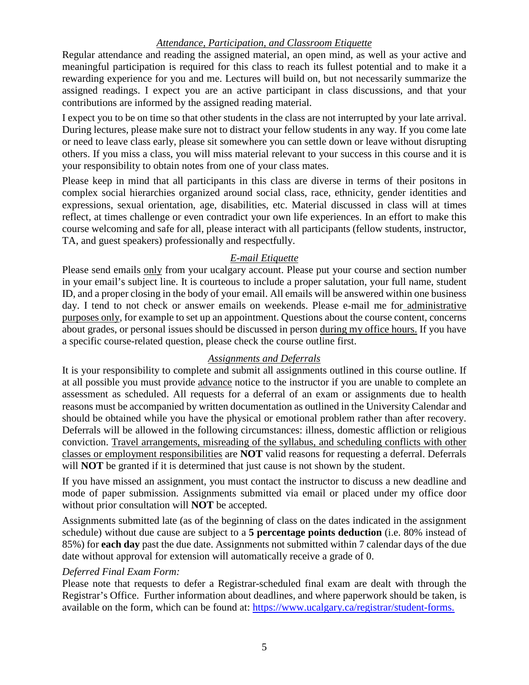# *Attendance, Participation, and Classroom Etiquette*

Regular attendance and reading the assigned material, an open mind, as well as your active and meaningful participation is required for this class to reach its fullest potential and to make it a rewarding experience for you and me. Lectures will build on, but not necessarily summarize the assigned readings. I expect you are an active participant in class discussions, and that your contributions are informed by the assigned reading material.

I expect you to be on time so that other students in the class are not interrupted by your late arrival. During lectures, please make sure not to distract your fellow students in any way. If you come late or need to leave class early, please sit somewhere you can settle down or leave without disrupting others. If you miss a class, you will miss material relevant to your success in this course and it is your responsibility to obtain notes from one of your class mates.

Please keep in mind that all participants in this class are diverse in terms of their positons in complex social hierarchies organized around social class, race, ethnicity, gender identities and expressions, sexual orientation, age, disabilities, etc. Material discussed in class will at times reflect, at times challenge or even contradict your own life experiences. In an effort to make this course welcoming and safe for all, please interact with all participants (fellow students, instructor, TA, and guest speakers) professionally and respectfully.

## *E-mail Etiquette*

Please send emails only from your ucalgary account. Please put your course and section number in your email's subject line. It is courteous to include a proper salutation, your full name, student ID, and a proper closing in the body of your email. All emails will be answered within one business day. I tend to not check or answer emails on weekends. Please e-mail me for administrative purposes only, for example to set up an appointment. Questions about the course content, concerns about grades, or personal issues should be discussed in person during my office hours. If you have a specific course-related question, please check the course outline first.

# *Assignments and Deferrals*

It is your responsibility to complete and submit all assignments outlined in this course outline. If at all possible you must provide advance notice to the instructor if you are unable to complete an assessment as scheduled. All requests for a deferral of an exam or assignments due to health reasons must be accompanied by written documentation as outlined in the University Calendar and should be obtained while you have the physical or emotional problem rather than after recovery. Deferrals will be allowed in the following circumstances: illness, domestic affliction or religious conviction. Travel arrangements, misreading of the syllabus, and scheduling conflicts with other classes or employment responsibilities are **NOT** valid reasons for requesting a deferral. Deferrals will **NOT** be granted if it is determined that just cause is not shown by the student.

If you have missed an assignment, you must contact the instructor to discuss a new deadline and mode of paper submission. Assignments submitted via email or placed under my office door without prior consultation will **NOT** be accepted.

Assignments submitted late (as of the beginning of class on the dates indicated in the assignment schedule) without due cause are subject to a **5 percentage points deduction** (i.e. 80% instead of 85%) for **each day** past the due date. Assignments not submitted within 7 calendar days of the due date without approval for extension will automatically receive a grade of 0.

## *Deferred Final Exam Form:*

Please note that requests to defer a Registrar-scheduled final exam are dealt with through the Registrar's Office. Further information about deadlines, and where paperwork should be taken, is available on the form, which can be found at: [https://www.ucalgary.ca/registrar/student-forms.](https://www.ucalgary.ca/registrar/student-forms)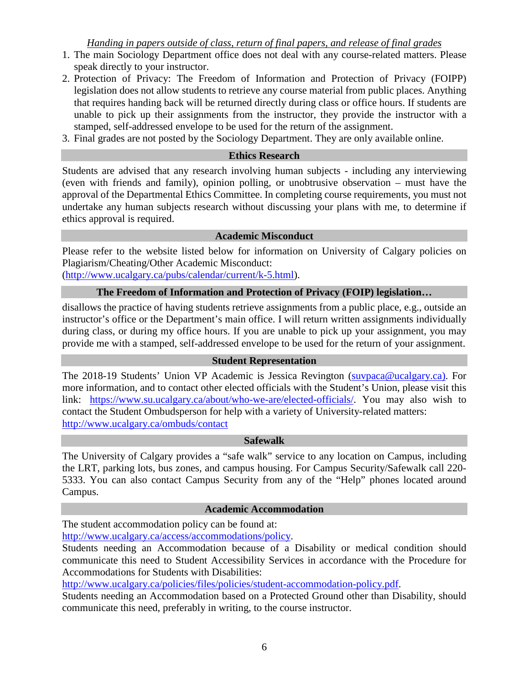*Handing in papers outside of class, return of final papers, and release of final grades*

- 1. The main Sociology Department office does not deal with any course-related matters. Please speak directly to your instructor.
- 2. Protection of Privacy: The Freedom of Information and Protection of Privacy (FOIPP) legislation does not allow students to retrieve any course material from public places. Anything that requires handing back will be returned directly during class or office hours. If students are unable to pick up their assignments from the instructor, they provide the instructor with a stamped, self-addressed envelope to be used for the return of the assignment.
- 3. Final grades are not posted by the Sociology Department. They are only available online.

## **Ethics Research**

Students are advised that any research involving human subjects - including any interviewing (even with friends and family), opinion polling, or unobtrusive observation – must have the approval of the Departmental Ethics Committee. In completing course requirements, you must not undertake any human subjects research without discussing your plans with me, to determine if ethics approval is required.

## **Academic Misconduct**

Please refer to the website listed below for information on University of Calgary policies on Plagiarism/Cheating/Other Academic Misconduct:

[\(http://www.ucalgary.ca/pubs/calendar/current/k-5.html\)](http://www.ucalgary.ca/pubs/calendar/current/k-5.html).

## **The Freedom of Information and Protection of Privacy (FOIP) legislation…**

disallows the practice of having students retrieve assignments from a public place, e.g., outside an instructor's office or the Department's main office. I will return written assignments individually during class, or during my office hours. If you are unable to pick up your assignment, you may provide me with a stamped, self-addressed envelope to be used for the return of your assignment.

## **Student Representation**

The 2018-19 Students' Union VP Academic is Jessica Revington [\(suvpaca@ucalgary.ca\)](mailto:suvpaca@ucalgary.ca). For more information, and to contact other elected officials with the Student's Union, please visit this link: [https://www.su.ucalgary.ca/about/who-we-are/elected-officials/.](https://www.su.ucalgary.ca/about/who-we-are/elected-officials/) You may also wish to contact the Student Ombudsperson for help with a variety of University-related matters: <http://www.ucalgary.ca/ombuds/contact>

## **Safewalk**

The University of Calgary provides a "safe walk" service to any location on Campus, including the LRT, parking lots, bus zones, and campus housing. For Campus Security/Safewalk call 220- 5333. You can also contact Campus Security from any of the "Help" phones located around Campus.

## **Academic Accommodation**

The student accommodation policy can be found at:

[http://www.ucalgary.ca/access/accommodations/policy.](http://www.ucalgary.ca/access/accommodations/policy)

Students needing an Accommodation because of a Disability or medical condition should communicate this need to Student Accessibility Services in accordance with the Procedure for Accommodations for Students with Disabilities:

[http://www.ucalgary.ca/policies/files/policies/student-accommodation-policy.pdf.](http://www.ucalgary.ca/policies/files/policies/student-accommodation-policy.pdf)

Students needing an Accommodation based on a Protected Ground other than Disability, should communicate this need, preferably in writing, to the course instructor.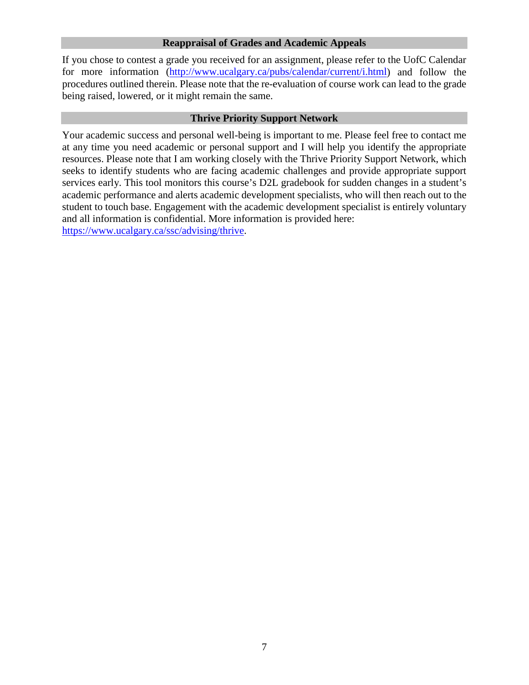### **Reappraisal of Grades and Academic Appeals**

If you chose to contest a grade you received for an assignment, please refer to the UofC Calendar for more information [\(http://www.ucalgary.ca/pubs/calendar/current/i.html\)](http://www.ucalgary.ca/pubs/calendar/current/i.html) and follow the procedures outlined therein. Please note that the re-evaluation of course work can lead to the grade being raised, lowered, or it might remain the same.

### **Thrive Priority Support Network**

Your academic success and personal well-being is important to me. Please feel free to contact me at any time you need academic or personal support and I will help you identify the appropriate resources. Please note that I am working closely with the Thrive Priority Support Network, which seeks to identify students who are facing academic challenges and provide appropriate support services early. This tool monitors this course's D2L gradebook for sudden changes in a student's academic performance and alerts academic development specialists, who will then reach out to the student to touch base. Engagement with the academic development specialist is entirely voluntary and all information is confidential. More information is provided here: [https://www.ucalgary.ca/ssc/advising/thrive.](https://www.ucalgary.ca/ssc/advising/thrive)